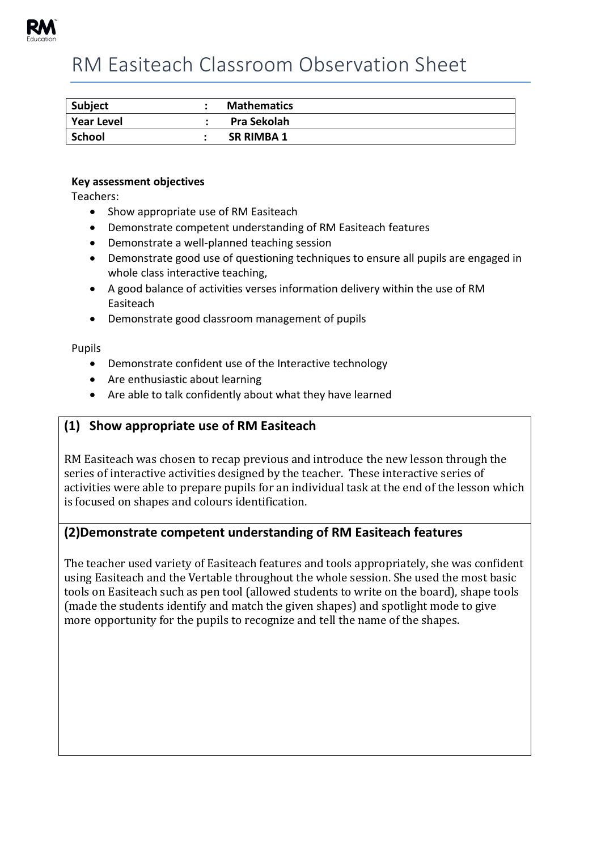

# RM Easiteach Classroom Observation Sheet

| <b>Subject</b> | <b>Mathematics</b> |
|----------------|--------------------|
| Year Level     | Pra Sekolah        |
| School         | <b>SR RIMBA 1</b>  |

#### **Key assessment objectives**

Teachers:

- Show appropriate use of RM Easiteach
- Demonstrate competent understanding of RM Easiteach features
- Demonstrate a well-planned teaching session
- Demonstrate good use of questioning techniques to ensure all pupils are engaged in whole class interactive teaching,
- A good balance of activities verses information delivery within the use of RM Easiteach
- Demonstrate good classroom management of pupils

Pupils

- Demonstrate confident use of the Interactive technology
- Are enthusiastic about learning
- Are able to talk confidently about what they have learned

# **(1) Show appropriate use of RM Easiteach**

RM Easiteach was chosen to recap previous and introduce the new lesson through the series of interactive activities designed by the teacher. These interactive series of activities were able to prepare pupils for an individual task at the end of the lesson which is focused on shapes and colours identification.

## **(2)Demonstrate competent understanding of RM Easiteach features**

The teacher used variety of Easiteach features and tools appropriately, she was confident using Easiteach and the Vertable throughout the whole session. She used the most basic tools on Easiteach such as pen tool (allowed students to write on the board), shape tools (made the students identify and match the given shapes) and spotlight mode to give more opportunity for the pupils to recognize and tell the name of the shapes.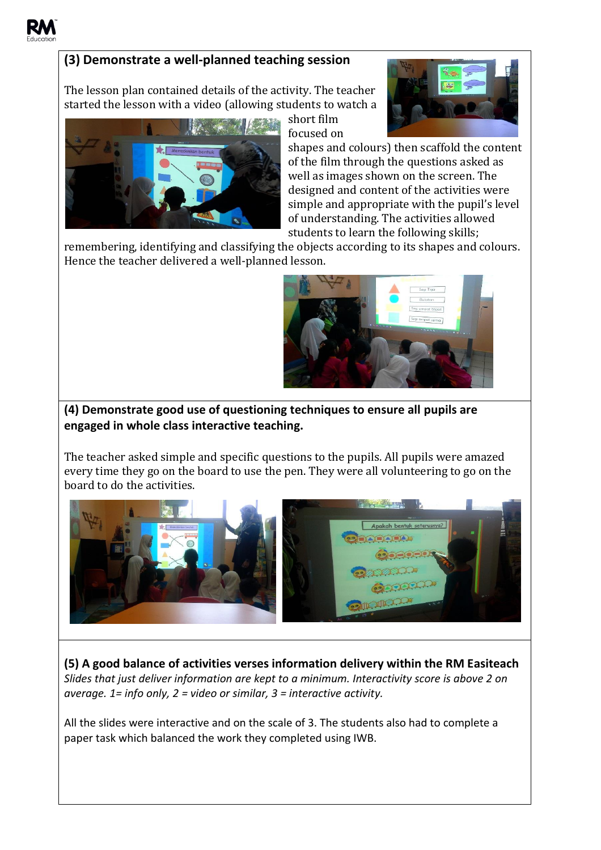

# **(3) Demonstrate a well-planned teaching session**

The lesson plan contained details of the activity. The teacher started the lesson with a video (allowing students to watch a



short film focused on



shapes and colours) then scaffold the content of the film through the questions asked as well as images shown on the screen. The designed and content of the activities were simple and appropriate with the pupil's level of understanding. The activities allowed students to learn the following skills;

remembering, identifying and classifying the objects according to its shapes and colours. Hence the teacher delivered a well-planned lesson.



# **(4) Demonstrate good use of questioning techniques to ensure all pupils are engaged in whole class interactive teaching.**

The teacher asked simple and specific questions to the pupils. All pupils were amazed every time they go on the board to use the pen. They were all volunteering to go on the board to do the activities.



**(5) A good balance of activities verses information delivery within the RM Easiteach**  *Slides that just deliver information are kept to a minimum. Interactivity score is above 2 on average. 1= info only, 2 = video or similar, 3 = interactive activity.*

All the slides were interactive and on the scale of 3. The students also had to complete a paper task which balanced the work they completed using IWB.